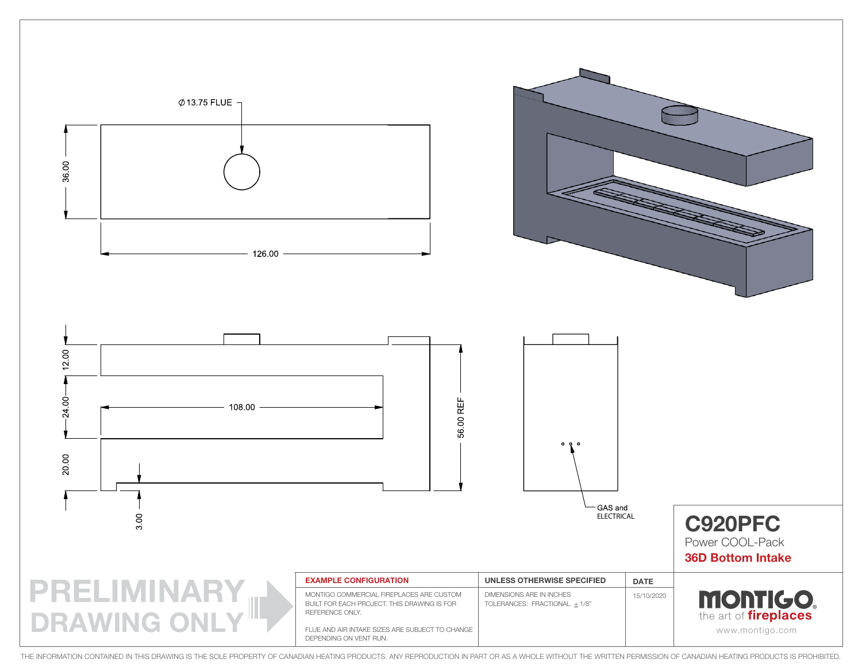

THE INFORMATION CONTAINED IN THIS DRAWING IS THE SOLE PROPERTY OF CANADIAN HEATING PRODUCTS. ANY REPRODUCTION IN PART OR AS A WHOLE WITHOUT THE WRITTEN PERMISSION OF CANADIAN HEATING PRODUCTS IS PROHIBITED.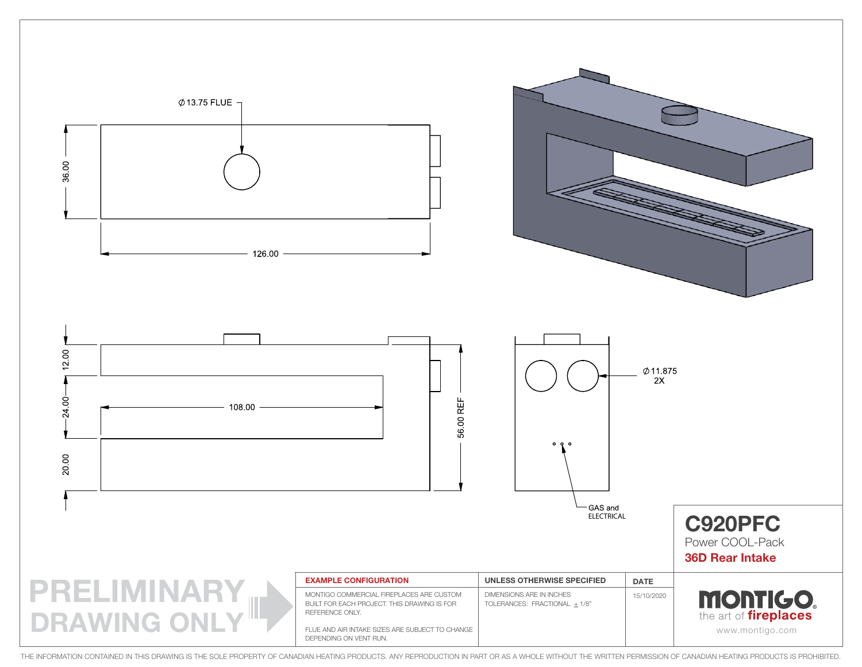

THE INFORMATION CONTAINED IN THIS DRAWING IS THE SOLE PROPERTY OF CANADIAN HEATING PRODUCTS. ANY REPRODUCTION IN PART OR AS A WHOLE WITHOUT THE WRITTEN PERMISSION OF CANADIAN HEATING PRODUCTS IS PROHIBITED.